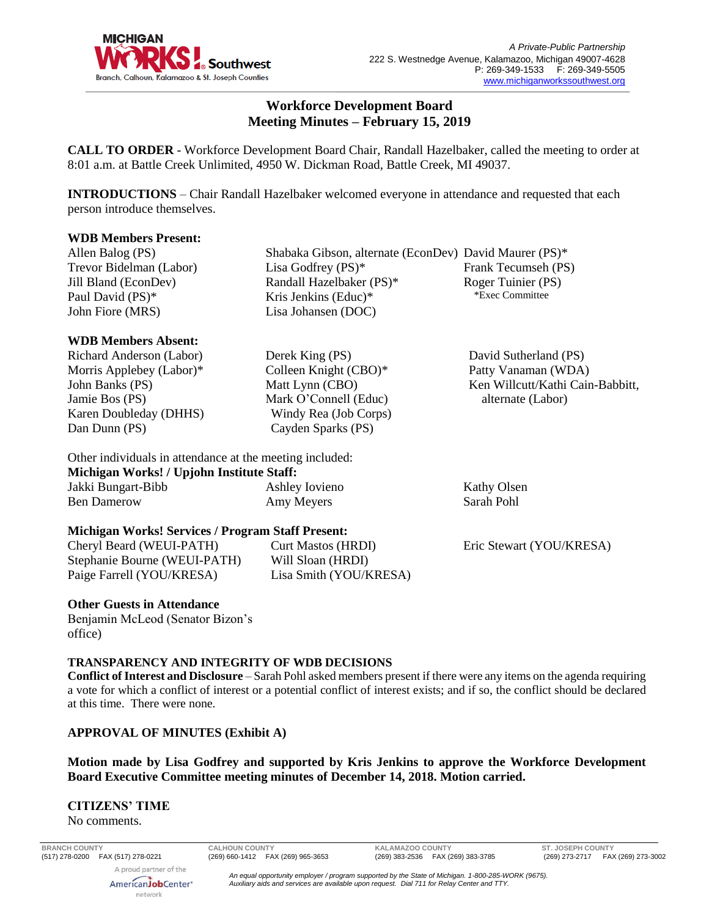

# **Workforce Development Board Meeting Minutes – February 15, 2019**

**CALL TO ORDER** - Workforce Development Board Chair, Randall Hazelbaker, called the meeting to order at 8:01 a.m. at Battle Creek Unlimited, 4950 W. Dickman Road, Battle Creek, MI 49037.

**INTRODUCTIONS** – Chair Randall Hazelbaker welcomed everyone in attendance and requested that each person introduce themselves.

> Lisa Godfrey (PS)\* Randall Hazelbaker (PS)\* Kris Jenkins (Educ)\* Lisa Johansen (DOC)

Derek King (PS) Colleen Knight (CBO)\* Matt Lynn (CBO) Mark O'Connell (Educ) Windy Rea (Job Corps) Cayden Sparks (PS)

#### **WDB Members Present:**

Allen Balog (PS) Trevor Bidelman (Labor) Jill Bland (EconDev) Paul David (PS)\* John Fiore (MRS)

# **WDB Members Absent:**

Richard Anderson (Labor) Morris Applebey (Labor)\* John Banks (PS) Jamie Bos (PS) Karen Doubleday (DHHS) Dan Dunn (PS)

Ben Damerow

# Other individuals in attendance at the meeting included: **Michigan Works! / Upjohn Institute Staff:** Jakki Bungart-Bibb

Ashley Iovieno Amy Meyers

## **Michigan Works! Services / Program Staff Present:**

Cheryl Beard (WEUI-PATH) Stephanie Bourne (WEUI-PATH) Paige Farrell (YOU/KRESA)

Curt Mastos (HRDI) Will Sloan (HRDI) Lisa Smith (YOU/KRESA)

Shabaka Gibson, alternate (EconDev) David Maurer (PS)\* Frank Tecumseh (PS) Roger Tuinier (PS) \*Exec Committee

> David Sutherland (PS) Patty Vanaman (WDA) Ken Willcutt/Kathi Cain-Babbitt, alternate (Labor)

Kathy Olsen Sarah Pohl

Eric Stewart (YOU/KRESA)

#### **Other Guests in Attendance**

Benjamin McLeod (Senator Bizon's office)

#### **TRANSPARENCY AND INTEGRITY OF WDB DECISIONS**

**Conflict of Interest and Disclosure** – Sarah Pohl asked members present if there were any items on the agenda requiring a vote for which a conflict of interest or a potential conflict of interest exists; and if so, the conflict should be declared at this time. There were none.

## **APPROVAL OF MINUTES (Exhibit A)**

# **Motion made by Lisa Godfrey and supported by Kris Jenkins to approve the Workforce Development Board Executive Committee meeting minutes of December 14, 2018. Motion carried.**

# **CITIZENS' TIME**

No comments.

A proud partner of the

**BRANCH COUNTY CALHOUN COUNTY KALAMAZOO COUNTY ST. JOSEPH COUNTY**

(269) 273-2717 FAX (269) 273-3002

AmericanJobCenter\* network

*An equal opportunity employer / program supported by the State of Michigan. 1-800-285-WORK (9675). Auxiliary aids and services are available upon request. Dial 711 for Relay Center and TTY.*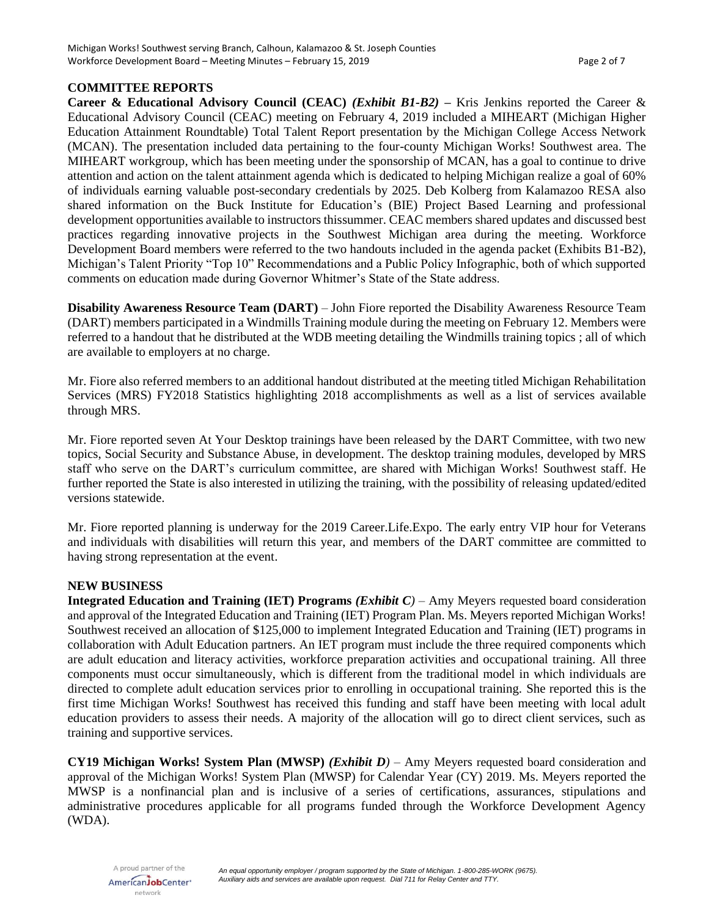#### **COMMITTEE REPORTS**

**Career & Educational Advisory Council (CEAC)** *(Exhibit B1-B2)* **–** Kris Jenkins reported the Career & Educational Advisory Council (CEAC) meeting on February 4, 2019 included a MIHEART (Michigan Higher Education Attainment Roundtable) Total Talent Report presentation by the Michigan College Access Network (MCAN). The presentation included data pertaining to the four-county Michigan Works! Southwest area. The MIHEART workgroup, which has been meeting under the sponsorship of MCAN, has a goal to continue to drive attention and action on the talent attainment agenda which is dedicated to helping Michigan realize a goal of 60% of individuals earning valuable post-secondary credentials by 2025. Deb Kolberg from Kalamazoo RESA also shared information on the Buck Institute for Education's (BIE) Project Based Learning and professional development opportunities available to instructors thissummer. CEAC members shared updates and discussed best practices regarding innovative projects in the Southwest Michigan area during the meeting. Workforce Development Board members were referred to the two handouts included in the agenda packet (Exhibits B1-B2), Michigan's Talent Priority "Top 10" Recommendations and a Public Policy Infographic, both of which supported comments on education made during Governor Whitmer's State of the State address.

**Disability Awareness Resource Team (DART)** – John Fiore reported the Disability Awareness Resource Team (DART) members participated in a Windmills Training module during the meeting on February 12. Members were referred to a handout that he distributed at the WDB meeting detailing the Windmills training topics ; all of which are available to employers at no charge.

Mr. Fiore also referred members to an additional handout distributed at the meeting titled Michigan Rehabilitation Services (MRS) FY2018 Statistics highlighting 2018 accomplishments as well as a list of services available through MRS.

Mr. Fiore reported seven At Your Desktop trainings have been released by the DART Committee, with two new topics, Social Security and Substance Abuse, in development. The desktop training modules, developed by MRS staff who serve on the DART's curriculum committee, are shared with Michigan Works! Southwest staff. He further reported the State is also interested in utilizing the training, with the possibility of releasing updated/edited versions statewide.

Mr. Fiore reported planning is underway for the 2019 Career.Life.Expo. The early entry VIP hour for Veterans and individuals with disabilities will return this year, and members of the DART committee are committed to having strong representation at the event.

## **NEW BUSINESS**

**Integrated Education and Training (IET) Programs** *(Exhibit C)* – Amy Meyers requested board consideration and approval of the Integrated Education and Training (IET) Program Plan. Ms. Meyers reported Michigan Works! Southwest received an allocation of \$125,000 to implement Integrated Education and Training (IET) programs in collaboration with Adult Education partners. An IET program must include the three required components which are adult education and literacy activities, workforce preparation activities and occupational training. All three components must occur simultaneously, which is different from the traditional model in which individuals are directed to complete adult education services prior to enrolling in occupational training. She reported this is the first time Michigan Works! Southwest has received this funding and staff have been meeting with local adult education providers to assess their needs. A majority of the allocation will go to direct client services, such as training and supportive services.

**CY19 Michigan Works! System Plan (MWSP)** *(Exhibit D)* – Amy Meyers requested board consideration and approval of the Michigan Works! System Plan (MWSP) for Calendar Year (CY) 2019. Ms. Meyers reported the MWSP is a nonfinancial plan and is inclusive of a series of certifications, assurances, stipulations and administrative procedures applicable for all programs funded through the Workforce Development Agency (WDA).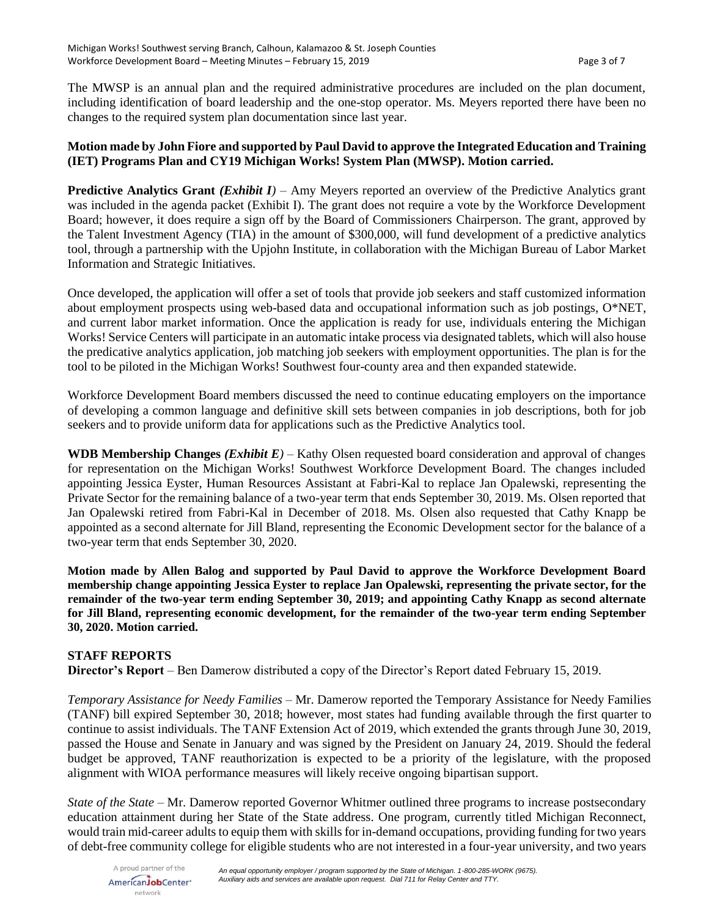The MWSP is an annual plan and the required administrative procedures are included on the plan document, including identification of board leadership and the one-stop operator. Ms. Meyers reported there have been no changes to the required system plan documentation since last year.

## **Motion made by John Fiore and supported by Paul David to approve the Integrated Education and Training (IET) Programs Plan and CY19 Michigan Works! System Plan (MWSP). Motion carried.**

**Predictive Analytics Grant** *(Exhibit I)* – Amy Meyers reported an overview of the Predictive Analytics grant was included in the agenda packet (Exhibit I). The grant does not require a vote by the Workforce Development Board; however, it does require a sign off by the Board of Commissioners Chairperson. The grant, approved by the Talent Investment Agency (TIA) in the amount of \$300,000, will fund development of a predictive analytics tool, through a partnership with the Upjohn Institute, in collaboration with the Michigan Bureau of Labor Market Information and Strategic Initiatives.

Once developed, the application will offer a set of tools that provide job seekers and staff customized information about employment prospects using web-based data and occupational information such as job postings, O\*NET, and current labor market information. Once the application is ready for use, individuals entering the Michigan Works! Service Centers will participate in an automatic intake process via designated tablets, which will also house the predicative analytics application, job matching job seekers with employment opportunities. The plan is for the tool to be piloted in the Michigan Works! Southwest four-county area and then expanded statewide.

Workforce Development Board members discussed the need to continue educating employers on the importance of developing a common language and definitive skill sets between companies in job descriptions, both for job seekers and to provide uniform data for applications such as the Predictive Analytics tool.

**WDB Membership Changes** *(Exhibit E)* – Kathy Olsen requested board consideration and approval of changes for representation on the Michigan Works! Southwest Workforce Development Board. The changes included appointing Jessica Eyster, Human Resources Assistant at Fabri-Kal to replace Jan Opalewski, representing the Private Sector for the remaining balance of a two-year term that ends September 30, 2019. Ms. Olsen reported that Jan Opalewski retired from Fabri-Kal in December of 2018. Ms. Olsen also requested that Cathy Knapp be appointed as a second alternate for Jill Bland, representing the Economic Development sector for the balance of a two-year term that ends September 30, 2020.

**Motion made by Allen Balog and supported by Paul David to approve the Workforce Development Board membership change appointing Jessica Eyster to replace Jan Opalewski, representing the private sector, for the remainder of the two-year term ending September 30, 2019; and appointing Cathy Knapp as second alternate for Jill Bland, representing economic development, for the remainder of the two-year term ending September 30, 2020. Motion carried.**

## **STAFF REPORTS**

**Director's Report** – Ben Damerow distributed a copy of the Director's Report dated February 15, 2019.

*Temporary Assistance for Needy Families* – Mr. Damerow reported the Temporary Assistance for Needy Families (TANF) bill expired September 30, 2018; however, most states had funding available through the first quarter to continue to assist individuals. The TANF Extension Act of 2019, which extended the grants through June 30, 2019, passed the House and Senate in January and was signed by the President on January 24, 2019. Should the federal budget be approved, TANF reauthorization is expected to be a priority of the legislature, with the proposed alignment with WIOA performance measures will likely receive ongoing bipartisan support.

*State of the State* – Mr. Damerow reported Governor Whitmer outlined three programs to increase postsecondary education attainment during her State of the State address. One program, currently titled Michigan Reconnect, would train mid-career adults to equip them with skills for in-demand occupations, providing funding for two years of debt-free community college for eligible students who are not interested in a four-year university, and two years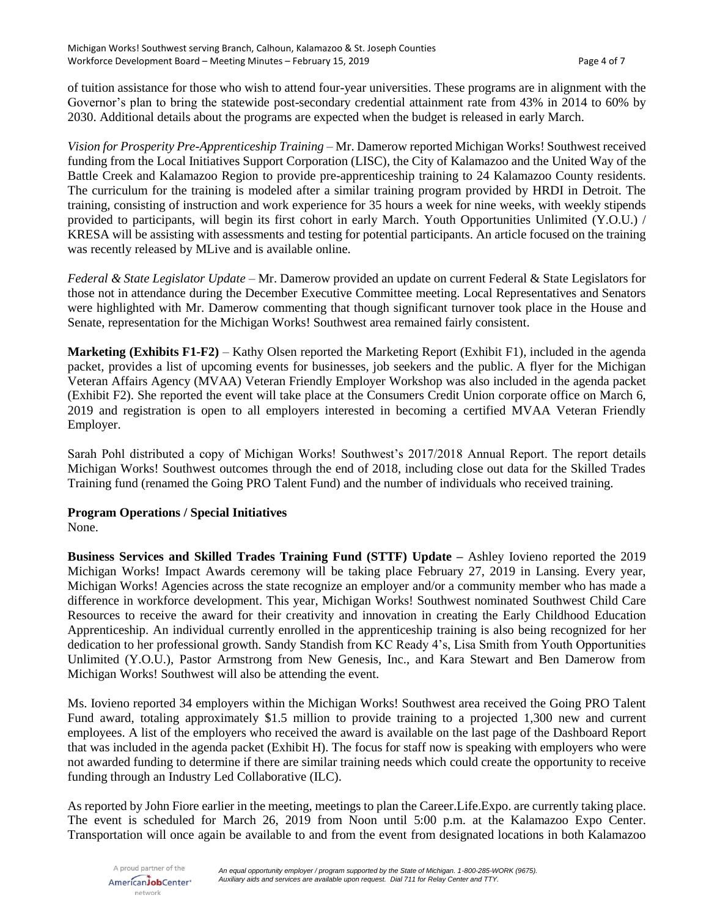of tuition assistance for those who wish to attend four-year universities. These programs are in alignment with the Governor's plan to bring the statewide post-secondary credential attainment rate from 43% in 2014 to 60% by 2030. Additional details about the programs are expected when the budget is released in early March.

*Vision for Prosperity Pre-Apprenticeship Training* – Mr. Damerow reported Michigan Works! Southwest received funding from the Local Initiatives Support Corporation (LISC), the City of Kalamazoo and the United Way of the Battle Creek and Kalamazoo Region to provide pre-apprenticeship training to 24 Kalamazoo County residents. The curriculum for the training is modeled after a similar training program provided by HRDI in Detroit. The training, consisting of instruction and work experience for 35 hours a week for nine weeks, with weekly stipends provided to participants, will begin its first cohort in early March. Youth Opportunities Unlimited (Y.O.U.) / KRESA will be assisting with assessments and testing for potential participants. An article focused on the training was recently released by MLive and is available online.

*Federal & State Legislator Update* – Mr. Damerow provided an update on current Federal & State Legislators for those not in attendance during the December Executive Committee meeting. Local Representatives and Senators were highlighted with Mr. Damerow commenting that though significant turnover took place in the House and Senate, representation for the Michigan Works! Southwest area remained fairly consistent.

**Marketing (Exhibits F1-F2)** – Kathy Olsen reported the Marketing Report (Exhibit F1), included in the agenda packet, provides a list of upcoming events for businesses, job seekers and the public. A flyer for the Michigan Veteran Affairs Agency (MVAA) Veteran Friendly Employer Workshop was also included in the agenda packet (Exhibit F2). She reported the event will take place at the Consumers Credit Union corporate office on March 6, 2019 and registration is open to all employers interested in becoming a certified MVAA Veteran Friendly Employer.

Sarah Pohl distributed a copy of Michigan Works! Southwest's 2017/2018 Annual Report. The report details Michigan Works! Southwest outcomes through the end of 2018, including close out data for the Skilled Trades Training fund (renamed the Going PRO Talent Fund) and the number of individuals who received training.

## **Program Operations / Special Initiatives**

None.

**Business Services and Skilled Trades Training Fund (STTF) Update –** Ashley Iovieno reported the 2019 Michigan Works! Impact Awards ceremony will be taking place February 27, 2019 in Lansing. Every year, Michigan Works! Agencies across the state recognize an employer and/or a community member who has made a difference in workforce development. This year, Michigan Works! Southwest nominated Southwest Child Care Resources to receive the award for their creativity and innovation in creating the Early Childhood Education Apprenticeship. An individual currently enrolled in the apprenticeship training is also being recognized for her dedication to her professional growth. Sandy Standish from KC Ready 4's, Lisa Smith from Youth Opportunities Unlimited (Y.O.U.), Pastor Armstrong from New Genesis, Inc., and Kara Stewart and Ben Damerow from Michigan Works! Southwest will also be attending the event.

Ms. Iovieno reported 34 employers within the Michigan Works! Southwest area received the Going PRO Talent Fund award, totaling approximately \$1.5 million to provide training to a projected 1,300 new and current employees. A list of the employers who received the award is available on the last page of the Dashboard Report that was included in the agenda packet (Exhibit H). The focus for staff now is speaking with employers who were not awarded funding to determine if there are similar training needs which could create the opportunity to receive funding through an Industry Led Collaborative (ILC).

As reported by John Fiore earlier in the meeting, meetings to plan the Career.Life.Expo. are currently taking place. The event is scheduled for March 26, 2019 from Noon until 5:00 p.m. at the Kalamazoo Expo Center. Transportation will once again be available to and from the event from designated locations in both Kalamazoo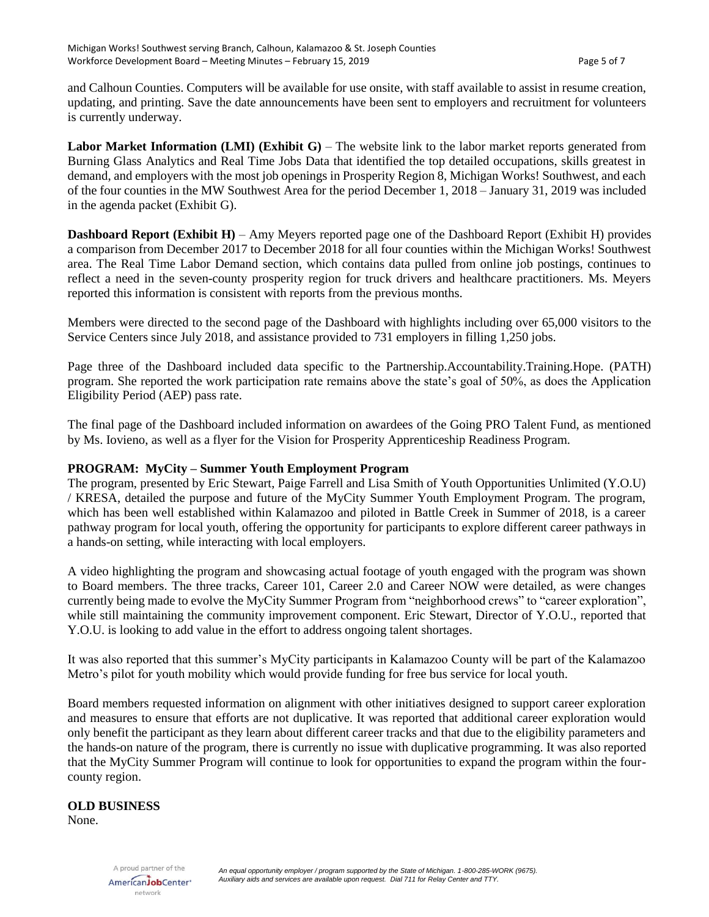and Calhoun Counties. Computers will be available for use onsite, with staff available to assist in resume creation, updating, and printing. Save the date announcements have been sent to employers and recruitment for volunteers is currently underway.

**Labor Market Information (LMI) (Exhibit G)** – The website link to the labor market reports generated from Burning Glass Analytics and Real Time Jobs Data that identified the top detailed occupations, skills greatest in demand, and employers with the most job openings in Prosperity Region 8, Michigan Works! Southwest, and each of the four counties in the MW Southwest Area for the period December 1, 2018 – January 31, 2019 was included in the agenda packet (Exhibit G).

**Dashboard Report (Exhibit H)** – Amy Meyers reported page one of the Dashboard Report (Exhibit H) provides a comparison from December 2017 to December 2018 for all four counties within the Michigan Works! Southwest area. The Real Time Labor Demand section, which contains data pulled from online job postings, continues to reflect a need in the seven-county prosperity region for truck drivers and healthcare practitioners. Ms. Meyers reported this information is consistent with reports from the previous months.

Members were directed to the second page of the Dashboard with highlights including over 65,000 visitors to the Service Centers since July 2018, and assistance provided to 731 employers in filling 1,250 jobs.

Page three of the Dashboard included data specific to the Partnership.Accountability.Training.Hope. (PATH) program. She reported the work participation rate remains above the state's goal of 50%, as does the Application Eligibility Period (AEP) pass rate.

The final page of the Dashboard included information on awardees of the Going PRO Talent Fund, as mentioned by Ms. Iovieno, as well as a flyer for the Vision for Prosperity Apprenticeship Readiness Program.

## **PROGRAM: MyCity – Summer Youth Employment Program**

The program, presented by Eric Stewart, Paige Farrell and Lisa Smith of Youth Opportunities Unlimited (Y.O.U) / KRESA, detailed the purpose and future of the MyCity Summer Youth Employment Program. The program, which has been well established within Kalamazoo and piloted in Battle Creek in Summer of 2018, is a career pathway program for local youth, offering the opportunity for participants to explore different career pathways in a hands-on setting, while interacting with local employers.

A video highlighting the program and showcasing actual footage of youth engaged with the program was shown to Board members. The three tracks, Career 101, Career 2.0 and Career NOW were detailed, as were changes currently being made to evolve the MyCity Summer Program from "neighborhood crews" to "career exploration", while still maintaining the community improvement component. Eric Stewart, Director of Y.O.U., reported that Y.O.U. is looking to add value in the effort to address ongoing talent shortages.

It was also reported that this summer's MyCity participants in Kalamazoo County will be part of the Kalamazoo Metro's pilot for youth mobility which would provide funding for free bus service for local youth.

Board members requested information on alignment with other initiatives designed to support career exploration and measures to ensure that efforts are not duplicative. It was reported that additional career exploration would only benefit the participant as they learn about different career tracks and that due to the eligibility parameters and the hands-on nature of the program, there is currently no issue with duplicative programming. It was also reported that the MyCity Summer Program will continue to look for opportunities to expand the program within the fourcounty region.

#### **OLD BUSINESS**

None.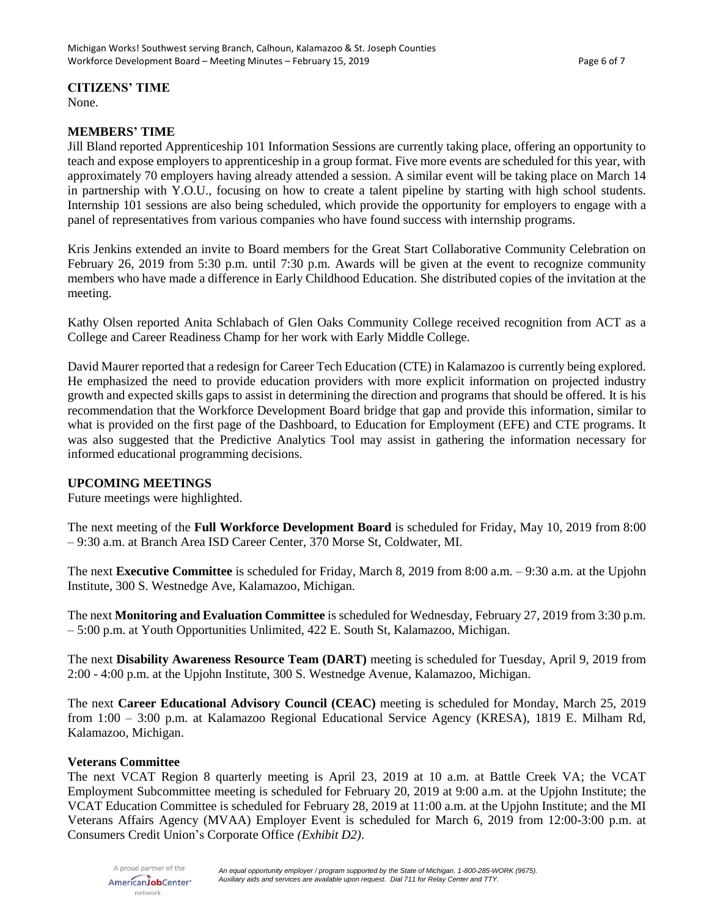#### **CITIZENS' TIME**

None.

#### **MEMBERS' TIME**

Jill Bland reported Apprenticeship 101 Information Sessions are currently taking place, offering an opportunity to teach and expose employers to apprenticeship in a group format. Five more events are scheduled for this year, with approximately 70 employers having already attended a session. A similar event will be taking place on March 14 in partnership with Y.O.U., focusing on how to create a talent pipeline by starting with high school students. Internship 101 sessions are also being scheduled, which provide the opportunity for employers to engage with a panel of representatives from various companies who have found success with internship programs.

Kris Jenkins extended an invite to Board members for the Great Start Collaborative Community Celebration on February 26, 2019 from 5:30 p.m. until 7:30 p.m. Awards will be given at the event to recognize community members who have made a difference in Early Childhood Education. She distributed copies of the invitation at the meeting.

Kathy Olsen reported Anita Schlabach of Glen Oaks Community College received recognition from ACT as a College and Career Readiness Champ for her work with Early Middle College.

David Maurer reported that a redesign for Career Tech Education (CTE) in Kalamazoo is currently being explored. He emphasized the need to provide education providers with more explicit information on projected industry growth and expected skills gaps to assist in determining the direction and programs that should be offered. It is his recommendation that the Workforce Development Board bridge that gap and provide this information, similar to what is provided on the first page of the Dashboard, to Education for Employment (EFE) and CTE programs. It was also suggested that the Predictive Analytics Tool may assist in gathering the information necessary for informed educational programming decisions.

## **UPCOMING MEETINGS**

Future meetings were highlighted.

The next meeting of the **Full Workforce Development Board** is scheduled for Friday, May 10, 2019 from 8:00 – 9:30 a.m. at Branch Area ISD Career Center, 370 Morse St, Coldwater, MI.

The next **Executive Committee** is scheduled for Friday, March 8, 2019 from 8:00 a.m. – 9:30 a.m. at the Upjohn Institute, 300 S. Westnedge Ave, Kalamazoo, Michigan.

The next **Monitoring and Evaluation Committee** is scheduled for Wednesday, February 27, 2019 from 3:30 p.m. – 5:00 p.m. at Youth Opportunities Unlimited, 422 E. South St, Kalamazoo, Michigan.

The next **Disability Awareness Resource Team (DART)** meeting is scheduled for Tuesday, April 9, 2019 from 2:00 - 4:00 p.m. at the Upjohn Institute, 300 S. Westnedge Avenue, Kalamazoo, Michigan.

The next **Career Educational Advisory Council (CEAC)** meeting is scheduled for Monday, March 25, 2019 from 1:00 – 3:00 p.m. at Kalamazoo Regional Educational Service Agency (KRESA), 1819 E. Milham Rd, Kalamazoo, Michigan.

#### **Veterans Committee**

The next VCAT Region 8 quarterly meeting is April 23, 2019 at 10 a.m. at Battle Creek VA; the VCAT Employment Subcommittee meeting is scheduled for February 20, 2019 at 9:00 a.m. at the Upjohn Institute; the VCAT Education Committee is scheduled for February 28, 2019 at 11:00 a.m. at the Upjohn Institute; and the MI Veterans Affairs Agency (MVAA) Employer Event is scheduled for March 6, 2019 from 12:00-3:00 p.m. at Consumers Credit Union's Corporate Office *(Exhibit D2)*.